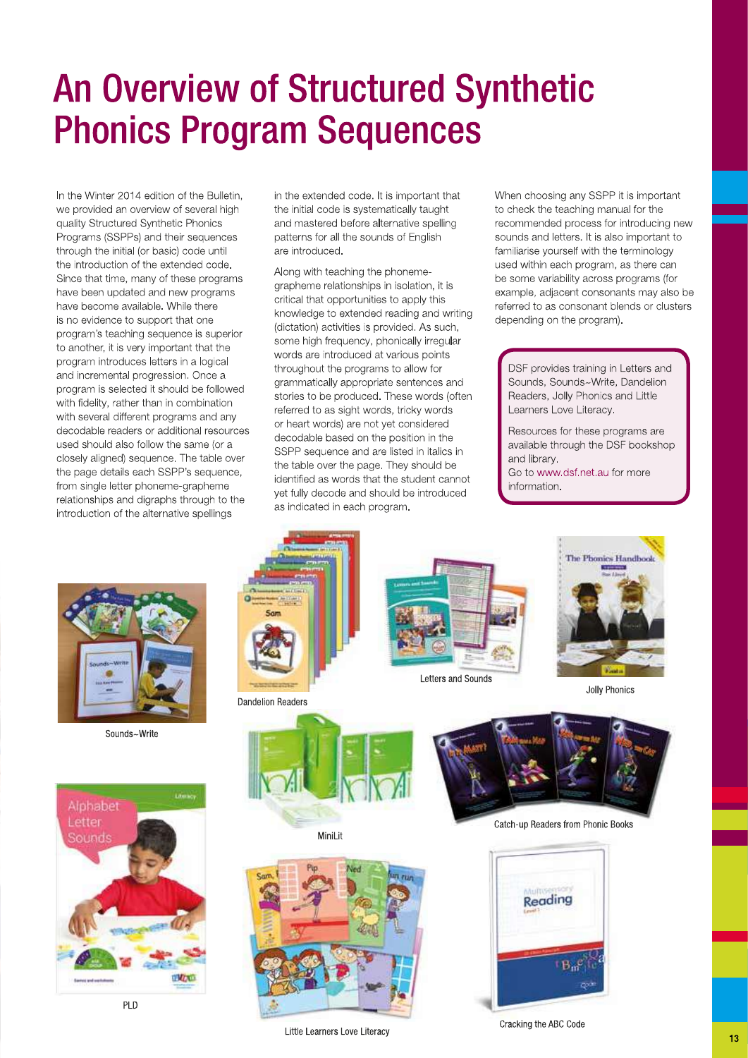## **An Overview of Structured Synthetic Phonics Program Sequences**

In the Winter 2014 edition of the Bulletin. we provided an overview of several high quality Structured Synthetic Phonics Programs (SSPPs) and their sequences through the initial (or basic) code until the introduction of the extended code. Since that time, many of these programs have been updated and new programs have become available. While there is no evidence to support that one program's teaching sequence is superior to another, it is very important that the program introduces letters in a logical and incremental progression. Once a program is selected it should be followed with fidelity, rather than in combination with several different programs and any decodable readers or additional resources used should also follow the same (or a closely aligned) sequence. The table over the page details each SSPP's sequence, from single letter phoneme-grapheme relationships and digraphs through to the introduction of the alternative spellings

in the extended code. It is important that the initial code is systematically taught and mastered before alternative spelling patterns for all the sounds of English are introduced.

Along with teaching the phonemegrapheme relationships in isolation, it is critical that opportunities to apply this knowledge to extended reading and writing (dictation) activities is provided. As such, some high frequency, phonically irregular words are introduced at various points throughout the programs to allow for grammatically appropriate sentences and stories to be produced. These words (often referred to as sight words, tricky words or heart words) are not vet considered decodable based on the position in the SSPP sequence and are listed in italics in the table over the page. They should be identified as words that the student cannot yet fully decode and should be introduced as indicated in each program.

When choosing any SSPP it is important to check the teaching manual for the recommended process for introducing new sounds and letters. It is also important to familiarise yourself with the terminology used within each program, as there can be some variability across programs (for example, adjacent consonants may also be referred to as consonant blends or clusters depending on the program).

DSF provides training in Letters and Sounds, Sounds~Write, Dandelion Readers, Jolly Phonics and Little Learners Love Literacy.

Resources for these programs are available through the DSF bookshop and library. Go to www.dsf.net.au for more

information.



Sounds~Write



**PLD** 



**Dandelion Readers** 



Letters and Sounds



Jolly Phonics



MiniLit







Catch-up Readers from Phonic Books



Cracking the ABC Code